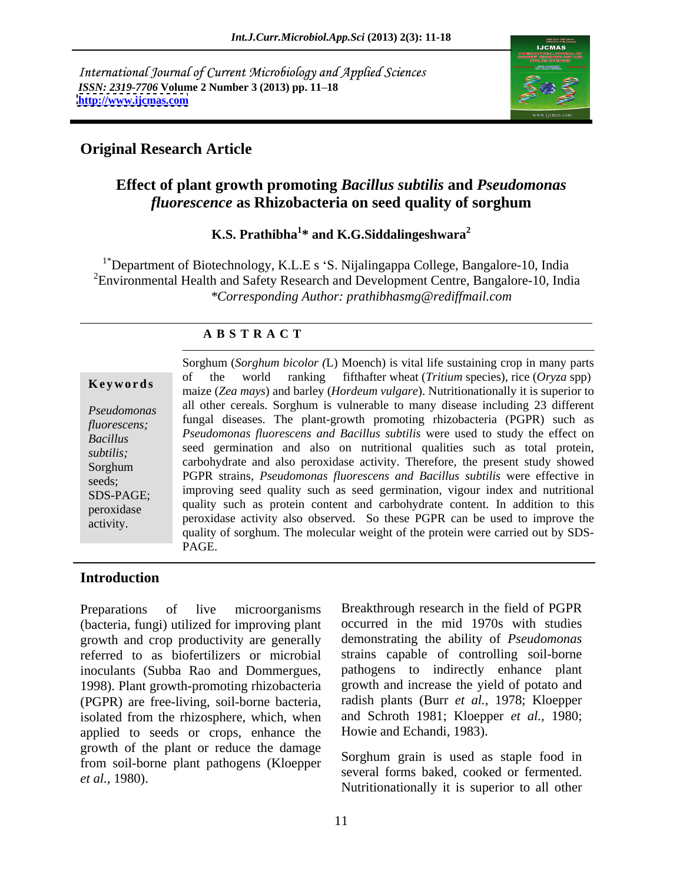International Journal of Current Microbiology and Applied Sciences *ISSN: 2319-7706* **Volume 2 Number 3 (2013) pp. 11 18 <http://www.ijcmas.com>**



#### **Original Research Article**

#### **Effect of plant growth promoting** *Bacillus subtilis* **and** *Pseudomonas fluorescence* **as Rhizobacteria on seed quality of sorghum**

#### **K.S. Prathibha<sup>1</sup> \* and K.G.Siddalingeshwara<sup>2</sup>**

<sup>1\*</sup>Department of Biotechnology, K.L.E s 'S. Nijalingappa College, Bangalore-10, India <sup>2</sup>Environmental Health and Safety Research and Development Centre, Bangalore-10, India *\*Corresponding Author: prathibhasmg@rediffmail.com*

#### **A B S T R A C T**

**Key words** of the world rainting indiated wheat (*Friddin* species), the (*Oryza* spp)<br>
maize (*Zea mays*) and barley (*Hordeum vulgare*). Nutritionationally it is superior to *Pseudomonas* all other cereals. Sorghum is vulnerable to many disease including 23 different *fluorescens;* fungal diseases. The plant-growth promoting rhizobacteria (PGPR) such as *Bacillus Pseudomonas fluorescens and Bacillus subtilis* were used to study the effect on subtilis;<br>
subtilis;<br>
subtilis;<br>
seed germination and also on nutritional qualities such as total protein, Sorghum carbohydrate and also peroxidase activity. Therefore, the present study showed seeds; PGPR strains, *Pseudomonas fluorescens and Bacillus subtilis* were effective in SDS-PAGE; improving seed quality such as seed germination, vigour index and nutritional peroxidase quality such as protein content and carbohydrate content. In addition to this peroxidase Sorghum (*Sorghum bicolor* (L) Moench) is vital life sustaining crop in many parts<br>
of the world ranking fifthafter wheat (*Tritium* species), rice (*Oryza* spp)<br>
maize (*Zea mays*) and barley (*Hordeum vulgare*). Nurticin of the world ranking fifthafter wheat (*Tritium* species), rice (*Oryza* spp) peroxidase activity also observed. So these PGPR can be used to improve the quality of sorghum. The molecular weight of the protein were carried out by SDS- PAGE.

#### **Introduction**

Preparations of live microorganisms Breakthrough research in the field of PGPR (bacteria, fungi) utilized for improving plant growth and crop productivity are generally referred to as biofertilizers or microbial strains capable of controlling soil-borne inoculants (Subba Rao and Dommergues, 1998). Plant growth-promoting rhizobacteria (PGPR) are free-living, soil-borne bacteria, isolated from the rhizosphere, which, when applied to seeds or crops, enhance the growth of the plant or reduce the damage from soil-borne plant pathogens (Kloepper

occurred in the mid 1970s with studies demonstrating the ability of *Pseudomonas*  pathogens to indirectly enhance plant growth and increase the yield of potato and radish plants (Burr *et al.,* 1978; Kloepper and Schroth 1981; Kloepper *et al.,* 1980; Howie and Echandi, 1983).

*et al.,* 1980). several forms baked, cooked or fermented. Sorghum grain is used as staple food in Nutritionationally it is superior to all other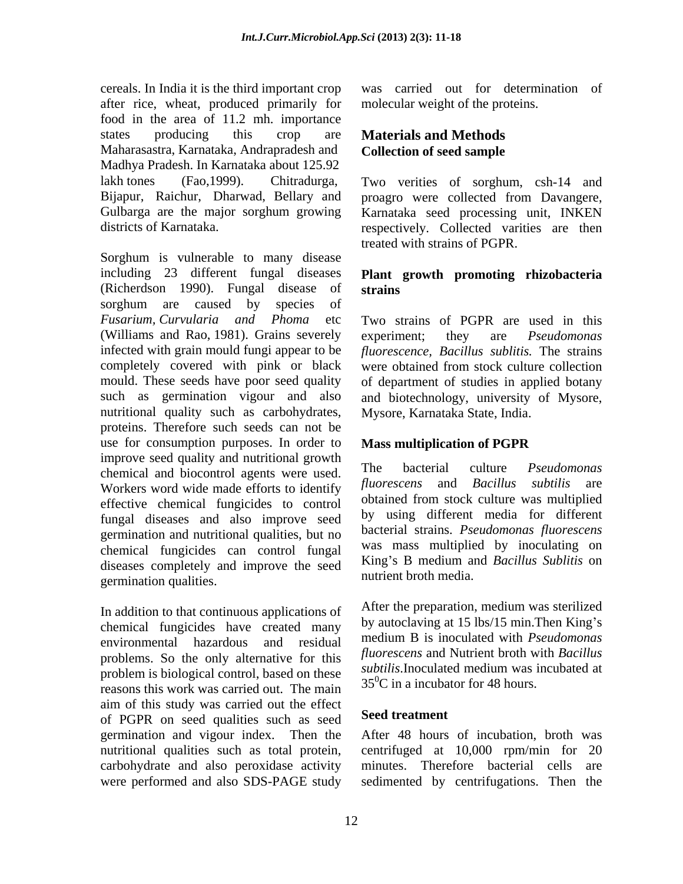cereals. In India it is the third important crop after rice, wheat, produced primarily for food in the area of 11.2 mh. importance states producing this crop are **Materials and Methods** Maharasastra, Karnataka, Andrapradesh and Madhya Pradesh. In Karnataka about 125.92 lakh tones (Fao,1999). Chitradurga, Two verities of sorghum, csh-14 and Bijapur, Raichur, Dharwad, Bellary and proagro were collected from Davangere, Gulbarga are the major sorghum growing Karnataka seed processing unit, INKEN

Sorghum is vulnerable to many disease including 23 different fungal diseases **Plant growth promoting rhizobacteria**  (Richerdson 1990). Fungal disease of sorghum are caused by species of *Fusarium, Curvularia and Phoma* etc Two strains of PGPR are used in this (Williams and Rao, 1981). Grains severely experiment; they are *Pseudomonas* infected with grain mould fungi appear to be *fluorescence, Bacillus sublitis.* The strains completely covered with pink or black were obtained from stock culture collection mould. These seeds have poor seed quality of department of studies in applied botany such as germination vigour and also and biotechnology, university of Mysore, nutritional quality such as carbohydrates, proteins. Therefore such seeds can not be use for consumption purposes. In order to Mass multiplication of PGPR improve seed quality and nutritional growth<br>characterial culture *Pseudomonas* chemical and biocontrol agents were used. Workers word wide made efforts to identify effective chemical fungicides to control fungal diseases and also improve seed germination and nutritional qualities, but no chemical fungicides can control fungal diseases completely and improve the seed germination qualities.

In addition to that continuous applications of chemical fungicides have created many environmental hazardous and residual medium B is inoculated with *Pseudomonds* problems. So the only alternative for this problem is biological control, based on these reasons this work was carried out. The main aim of this study was carried out the effect<br>of DCDD are seed medicine and speed as Seed treatment. of PGPR on seed qualities such as seed germination and vigour index. Then the

was carried out for determination of molecular weight of the proteins.

### **Materials and Methods Collection of seed sample**

districts of Karnataka. The respectively. Collected varities are then proagro were collected from Davangere, Karnataka seed processing unit, INKEN treated with strains of PGPR.

## **strains**

experiment; they are *Pseudomonas*  Mysore, Karnataka State, India.

#### **Mass multiplication of PGPR**

The bacterial culture *Pseudomonas fluorescens* and *Bacillus subtilis* are obtained from stock culture was multiplied by using different media for different bacterial strains. *Pseudomonas fluorescens* was mass multiplied by inoculating on King s B medium and *Bacillus Sublitis* on nutrient broth media.

After the preparation, medium was sterilized by autoclaving at  $15$  lbs/ $15$  min. Then King's medium B is inoculated with *Pseudomonas fluorescens* and Nutrient broth with *Bacillus subtilis*.Inoculated medium was incubated at  $35^0$ C in a incubator for 48 hours.

#### **Seed treatment**

nutritional qualities such as total protein, centrifuged at 10,000 rpm/min for 20 carbohydrate and also peroxidase activity minutes. Therefore bacterial cells are were performed and also SDS-PAGE study sedimented by centrifugations. Then theAfter 48 hours of incubation, broth was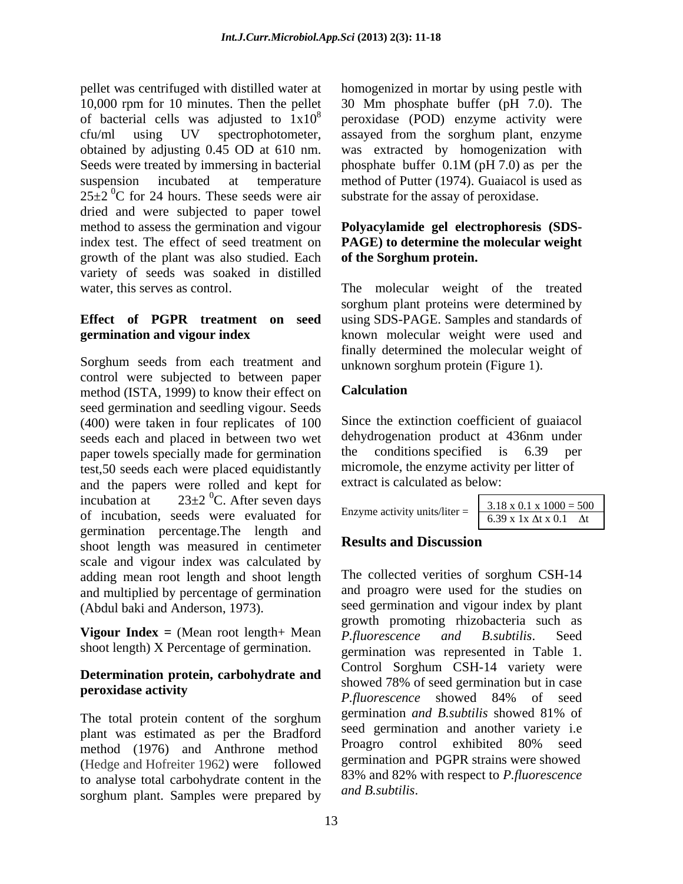pellet was centrifuged with distilled water at homogenized in mortar by using pestle with 10,000 rpm for 10 minutes. Then the pellet 30 Mm phosphate buffer (pH 7.0). The of bacterial cells was adjusted to  $1x10^8$  peroxidase (POD) enzyme activity were cfu/ml using UV spectrophotometer, assayed from the sorghum plant, enzyme obtained by adjusting 0.45 OD at 610 nm. was extracted by homogenization with Seeds were treated by immersing in bacterial phosphate buffer 0.1M (pH 7.0) as per the suspension incubated at temperature method of Putter (1974). Guaiacol is used as  $25\pm2$  <sup>0</sup>C for 24 hours. These seeds were air dried and were subjected to paper towel method to assess the germination and vigour **Polyacylamide gel electrophoresis (SDS** index test. The effect of seed treatment on **PAGE) to determine the molecular weight**  growth of the plant was also studied. Each variety of seeds was soaked in distilled

#### **Effect of PGPR treatment on seed** using SDS-PAGE. Samples and standards of **germination and vigour index** known molecular weight were used and

Sorghum seeds from each treatment and control were subjected to between paper<br>method (ISTA 1999) to know their effect on **Calculation** method (ISTA, 1999) to know their effect on seed germination and seedling vigour. Seeds (400) were taken in four replicates of 100 seeds each and placed in between two wet dehy<br>nanet towels specially made for germination the paper towels specially made for germination the conditions specified is 6.39 per test,50 seeds each were placed equidistantly and the papers were rolled and kept for<br>incubation at  $23\pm2~^0C$ . After seven days incubation at  $23\pm2~^0C$ . After seven days of incubation, seeds were evaluated for germination percentage.The length and<br>choot langth was masswed in continuous Results and Discussion shoot length was measured in centimeter scale and vigour index was calculated by adding mean root length and shoot length and multiplied by percentage of germination (Abdul baki and Anderson, 1973). seed germination and vigour index by plant

**Vigour Index** = (Mean root length+ Mean  $\overrightarrow{P}$ , *fluorescence and B. subtilis.* Seed shoot length) X Percentage of germination.

## **Determination protein, carbohydrate and**

plant was estimated as per the Bradford seed germination and another variety i.e.<br>mathod (1076) and Anthrope mathod Proagro control exhibited 80% seed method (1976) and Anthrone method (Hedge and Hofreiter 1962) were followed to analyse total carbohydrate content in the  $\frac{83\%}{2}$  and  $\frac{82\%}{2}$  and  $\frac{82\%}{2}$ sorghum plant. Samples were prepared by

phosphate buffer 0.1M (pH 7.0) as per the substrate for the assay of peroxidase.

# **of the Sorghum protein.**

water, this serves as control. The molecular weight of the treated sorghum plant proteins were determined by finally determined the molecular weight of unknown sorghum protein (Figure 1).

#### **Calculation**

Since the extinction coefficient of guaiacol dehydrogenation product at 436nm under conditions specified is  $6.39$ micromole, the enzyme activity per litter of extract is calculated as below:

| Enzyme activity units/liter = | $x 1000 = 500$<br>3.18 X U<br>$6.39$ x 1x $\Delta$ t x 0.1<br>$\Delta t$ |  |  |
|-------------------------------|--------------------------------------------------------------------------|--|--|
|                               |                                                                          |  |  |

#### **Results and Discussion**

**peroxidase activity** *P.fluorescence* showed 84% of seed The total protein content of the sorghum germination and B subtilis showed 81% of The collected verities of sorghum CSH-14 and proagro were used for the studies on growth promoting rhizobacteria such as *P.fluorescence and B.subtilis*. Seed germination was represented in Table 1. Control Sorghum CSH-14 variety were showed 78% of seed germination but in case germination *and B.subtilis* showed 81% of seed germination and another variety i.e Proagro control exhibited 80% seed germination and PGPR strains were showed 83% and 82% with respect to *P.fluorescence*  Enzyme activity units/liter =  $\frac{3.18 \times 0.1 \times 1000 = 500}{6.39 \times 1 \times \Delta t \times 0.1}$ <br> **Results and Discussion**<br>
The collected verities of sorghum CSH-14<br>
and proagro were used for the studies on<br>
seed germination and vigour ind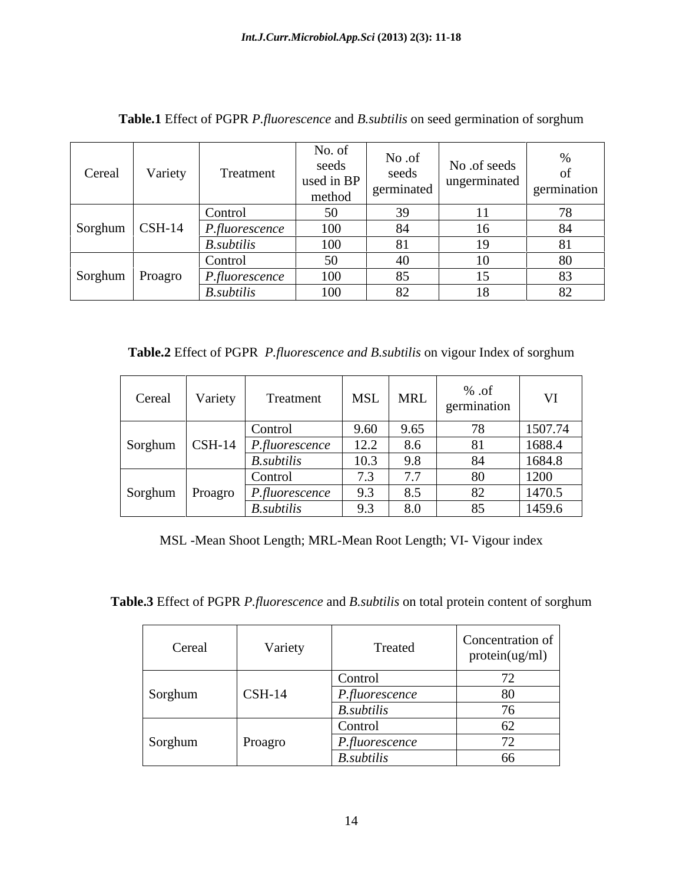| Cereal                                     | Variety | Treatment               | No. of<br>seeds<br>used in BP<br>method | No .of<br>seeds<br>germinated | No .of seeds<br>ungerminated | ΟĪ<br>germination |
|--------------------------------------------|---------|-------------------------|-----------------------------------------|-------------------------------|------------------------------|-------------------|
|                                            |         | Control                 |                                         |                               |                              | 70                |
| $\sqrt{\text{Sorghum}} \mid \text{CSH-14}$ |         | P, fluorescence         | 100                                     |                               |                              | 84                |
|                                            |         | <b>B.</b> subtilis      | 100                                     |                               |                              |                   |
|                                            |         | Control                 | 50                                      |                               |                              | 80                |
| Sorghum Proagro                            |         | $P$ <i>fluorescence</i> | 100                                     | 85                            |                              | 83                |
|                                            |         | B.subtilis              | 100                                     |                               |                              | 82                |

**Table.1** Effect of PGPR *P.fluorescence* and *B.subtilis* on seed germination of sorghum

**Table.2** Effect of PGPR *P.fluorescence and B.subtilis* on vigour Index of sorghum

| Cereal | Variety | Treatment                                       | MSL                                       | MRL  | % .of<br>germination | T T     |
|--------|---------|-------------------------------------------------|-------------------------------------------|------|----------------------|---------|
|        |         | Control                                         | 9.60                                      | 9.65 | 7Q                   | 1507.74 |
|        |         | Sorghum   CSH-14   <i>P.fluorescence</i>        | 12.2                                      | 8.6  | 81                   | 1688.4  |
|        |         | $B.$ <i>subtilis</i>                            | 10.3                                      | 9.8  | 84                   | 1684.8  |
|        |         | Control                                         | $\sim$ $\sim$<br>$\overline{\phantom{a}}$ |      | 80                   | 1200    |
|        |         | $Sorghum$ Proagro $\vert$ <i>P.fluorescence</i> | $\lambda$ .                               |      | 82                   | 1470.5  |
|        |         | <b>B.</b> subtilis                              | J.5                                       | 8.0  | 85                   | 1459.6  |

MSL -Mean Shoot Length; MRL-Mean Root Length; VI- Vigour index

**Table.3** Effect of PGPR *P.fluorescence* and *B.subtilis* on total protein content of sorghum

| Cereal  | Variety         | Treated                       | Concentration of<br>protein(ug/ml) |
|---------|-----------------|-------------------------------|------------------------------------|
|         |                 | Control                       | $\overline{a}$                     |
| Sorghum | $\text{CSH-14}$ | $P$ <i>.fluorescence</i>      | 80                                 |
|         |                 | <b>B.</b> subtilis<br>Control |                                    |
| Sorghum | Proagro         | P.fluorescence                |                                    |
|         |                 | <b>B.</b> subtilis            | 66                                 |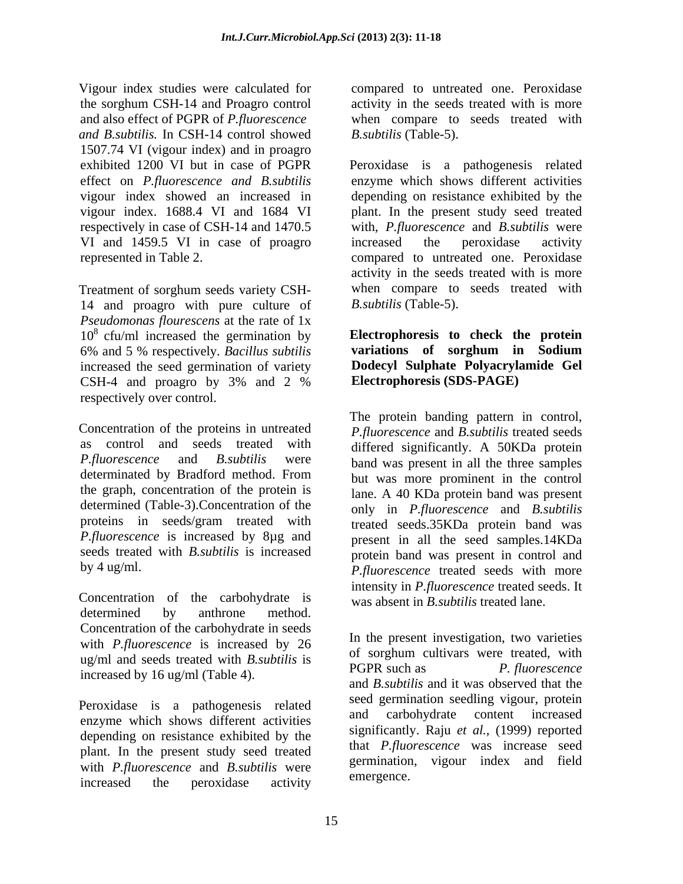Vigour index studies were calculated for compared to untreated one. Peroxidase the sorghum CSH-14 and Proagro control and also effect of PGPR of *P.fluorescence*  when compare to seeds treated with *and B.subtilis.* In CSH-14 control showed 1507.74 VI (vigour index) and in proagro respectively in case of CSH-14 and 1470.5 VI and 1459.5 VI in case of proagro increased the peroxidase activity

Treatment of sorghum seeds variety CSH- 14 and proagro with pure culture of *Pseudomonas flourescens* at the rate of 1x 10<sup>8</sup> cfu/ml increased the germination by **Electrophoresis to check the protein** 6% and 5 % respectively. *Bacillus subtilis* increased the seed germination of variety CSH-4 and proagro by 3% and 2 % Electrophoresis  $(SDS-PAGE)$ respectively over control.

Concentration of the proteins in untreated as control and seeds treated with differed significantly. A 50KDa protein *P.fluorescence* and *B.subtilis* were band was present in all the three samples determinated by Bradford method. From but was more prominent in the control the graph, concentration of the protein is determined (Table-3).Concentration of the proteins in seeds/gram treated with *P.fluorescence* is increased by 8µg and seeds treated with *B.subtilis* is increased

Concentration of the carbohydrate is was absent in  $\overrightarrow{B}$  subtilis treated lane. determined by anthrone method. Concentration of the carbohydrate in seeds<br>with  $R$  fluencescanse is increased by  $26$  In the present investigation, two varieties with *P.fluorescence* is increased by 26 ug/ml and seeds treated with *B.subtilis* is<br>
PGPR such as P. fluorescence increased by 16 ug/ml (Table 4).

Peroxidase is a pathogenesis related<br>and carbohydrate content increased<br>example the state of the content of the carbohydrate content increased enzyme which shows different activities depending on resistance exhibited by the plant. In the present study seed treated with *P.fluorescence* and *B.subtilis* were increased the peroxidase activity <sup>emergence</sup>.

activity in the seeds treated with is more *B.subtilis* (Table-5).

exhibited 1200 VI but in case of PGPR Peroxidase is a pathogenesis related effect on *P.fluorescence and B.subtilis* enzyme which shows different activities vigour index showed an increased in depending on resistance exhibited by the vigour index. 1688.4 VI and 1684 VI plant. In the present study seed treated represented in Table 2. compared to untreated one. Peroxidase with, *P.fluorescence* and *B.subtilis* were increased the peroxidase activity activity in the seeds treated with is more when compare to seeds treated with *B.subtilis* (Table-5).

> **variations of sorghum in Sodium Dodecyl Sulphate Polyacrylamide Gel Electrophoresis (SDS-PAGE)**

by 4 ug/ml. *P.fluorescence* treated seeds with more The protein banding pattern in control, *P.fluorescence* and *B.subtilis* treated seeds but was more prominent in the control lane. A 40 KDa protein band was present only in *P.fluorescence* and *B.subtilis* treated seeds.35KDa protein band was present in all the seed samples.14KDa protein band was present in control and intensity in *P.fluorescence* treated seeds. It

was absent in *B.subtilis* treated lane.<br>In the present investigation, two varieties of sorghum cultivars were treated, with PGPR such as *P. fluorescence* and *B.subtilis* and it was observed that the seed germination seedling vigour, protein and carbohydrate content increased significantly. Raju *et al.,* (1999) reported that *P.fluorescence* was increase seed germination, vigour index and field emergence.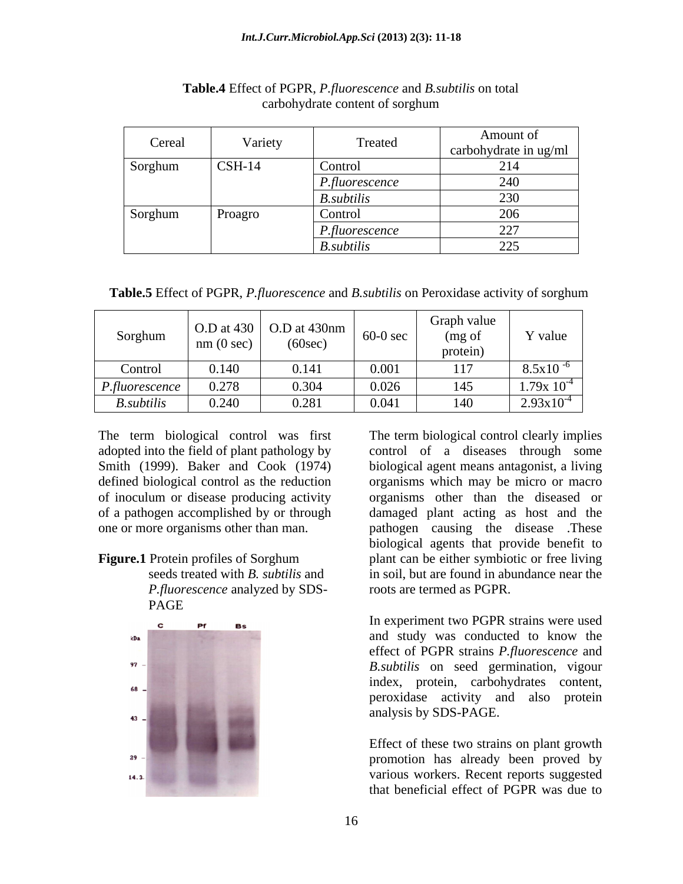| Cereal  | Variety  | Treated                  | Amount of<br>carbohydrate in ug/ml |
|---------|----------|--------------------------|------------------------------------|
| Sorghum | $CSH-14$ | Control                  |                                    |
|         |          | $P$ <i>.fluorescence</i> | $\bigcap A$                        |
|         |          | B.subtilis               | 222                                |
| Sorghum | Proagro  | Control                  |                                    |
|         |          | $P$ .fluorescence        | $\Delta \Delta \tau$               |
|         |          | <b>B.</b> subtilis       | $\sim$ $\sim$ $\sim$               |

#### **Table.4** Effect of PGPR, *P.fluorescence* and *B.subtilis* on total carbohydrate content of sorghum

 **Table.5** Effect of PGPR, *P.fluorescence* and *B.subtilis* on Peroxidase activity of sorghum

The term biological control was first

 *P.fluorescence* analyzed by SDS- PAGE



adopted into the field of plant pathology by control of a diseases through some Smith (1999). Baker and Cook (1974) biological agent means antagonist, a living defined biological control as the reduction organisms which may be micro or macro of inoculum or disease producing activity organisms other than the diseased or of a pathogen accomplished by or through damaged plant acting as host and the one or more organisms other than man. pathogen causing the disease .These **Figure.1** Protein profiles of Sorghum plant can be either symbiotic or free living seeds treated with *B. subtilis* and in soil, but are found in abundance near the The term biological control clearly implies biological agents that provide benefit to roots are termed as PGPR.

> In experiment two PGPR strains were used and study was conducted to know the effect of PGPR strains *P.fluorescence* and *B.subtilis* on seed germination, vigour index, protein, carbohydrates content, peroxidase activity and also protein analysis by SDS-PAGE.

> Effect of these two strains on plant growth promotion has already been proved by various workers. Recent reports suggested that beneficial effect of PGPR was due to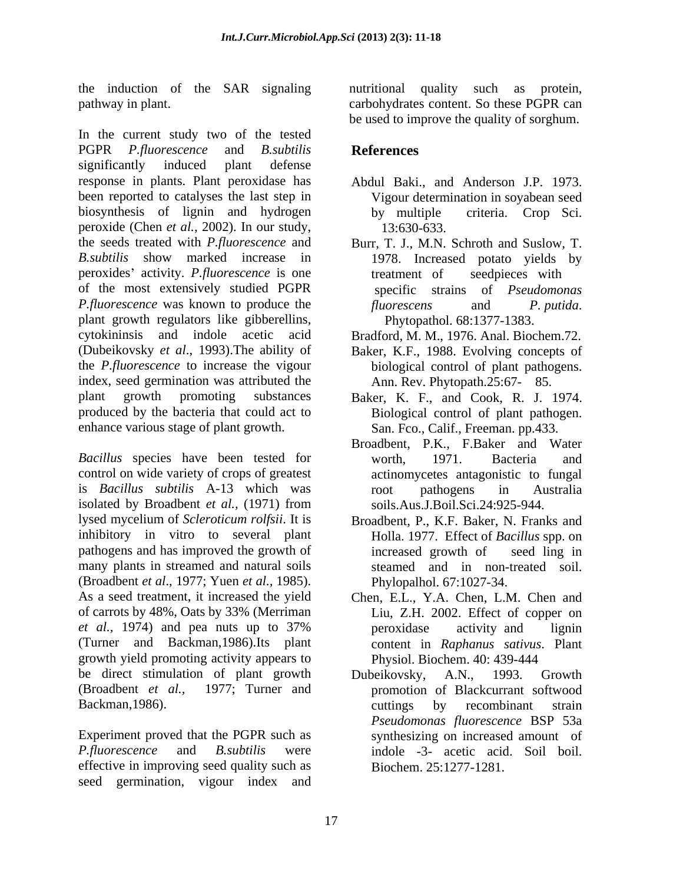the induction of the SAR signaling pathway in plant. carbohydrates content. So these PGPR can

In the current study two of the tested PGPR *P.fluorescence* and *B.subtilis* significantly induced plant defense response in plants. Plant peroxidase has Abdul Baki., and Anderson J.P. 1973. been reported to catalyses the last step in biosynthesis of lignin and hydrogen by multiple criteria. Crop Sci. peroxide (Chen *et al.,* 2002). In our study, the seeds treated with *P.fluorescence* and Burr, T. J., M.N. Schroth and Suslow, T. *B.subtilis* show marked increase in 1978. Increased potato yields by peroxides' activity. *P.fluorescence* is one treatment of seedpieces with of the most extensively studied PGPR specific strains of *Pseudomonas P.fluorescence* was known to produce the *fluorescens* and *P. putida.* plant growth regulators like gibberellins, cytokininsis and indole acetic acid Bradford, M. M., 1976. Anal. Biochem.72. (Dubeikovsky *et al*., 1993).The ability of the *P.fluorescence* to increase the vigour<br>
index, seed germination was attributed the Ann. Rev. Phytopath.25:67- 85. index, seed germination was attributed the Ann. Rev. Phytopath.25:67- 85. plant growth promoting substances Baker, K. F., and Cook, R. J. 1974. produced by the bacteria that could act to Biological control of plant pathogen. enhance various stage of plant growth.

*Bacillus* species have been tested for worth, 1971. Bacteria and control on wide variety of crops of greatest is *Bacillus subtilis* A-13 which was isolated by Broadbent *et al.,* (1971) from lysed mycelium of *Scleroticum rolfsii*. It is inhibitory in vitro to several plant pathogens and has improved the growth of increased growth of seed ling in many plants in streamed and natural soils (Broadbent *et al*., 1977; Yuen *et al.,* 1985). As a seed treatment, it increased the yield Chen, E.L., Y.A. Chen, L.M. Chen and of carrots by 48%, Oats by 33% (Merriman *et al.,* 1974) and pea nuts up to 37% (Turner and Backman,1986).Its plant content in *Raphanus sativus*. Plant growth yield promoting activity appears to be direct stimulation of plant growth Dubeikovsky, A.N., 1993. Growth (Broadbent *et al.,* 1977; Turner and promotion of Blackcurrant softwood Backman, 1986). Cuttings by recombinant strain

Experiment proved that the PGPR such as *P.fluorescence* and *B.subtilis* were indole -3- acetic acid. Soil boil. effective in improving seed quality such as seed germination, vigour index and

quality such as protein, be used to improve the quality of sorghum.

#### **References**

- Vigour determination in soyabean seed by multiple criteria. Crop Sci. 13:630-633.
- treatment of seedpieces with specific strains of *Pseudomonas fluorescens* and *P. putida*. Phytopathol. 68:1377-1383.
- 
- Baker, K.F., 1988. Evolving concepts of
- San. Fco., Calif., Freeman. pp.433.
- Broadbent, P.K., F.Baker and Water worth, 1971. Bacteria and actinomycetes antagonistic to fungal root pathogens in Australia soils.Aus.J.Boil.Sci.24:925-944.
- Broadbent, P., K.F. Baker, N. Franks and Holla. 1977. Effect of *Bacillus* spp. on increased growth of seed ling in steamed and in non-treated soil. Phylopalhol. 67:1027-34.
- Liu, Z.H. 2002. Effect of copper on peroxidase activity and lignin Physiol. Biochem. 40: 439-444
- Dubeikovsky, A.N., 1993. Growth cuttings by recombinant strain *Pseudomonas fluorescence* BSP 53a synthesizing on increased amount of Biochem. 25:1277-1281.